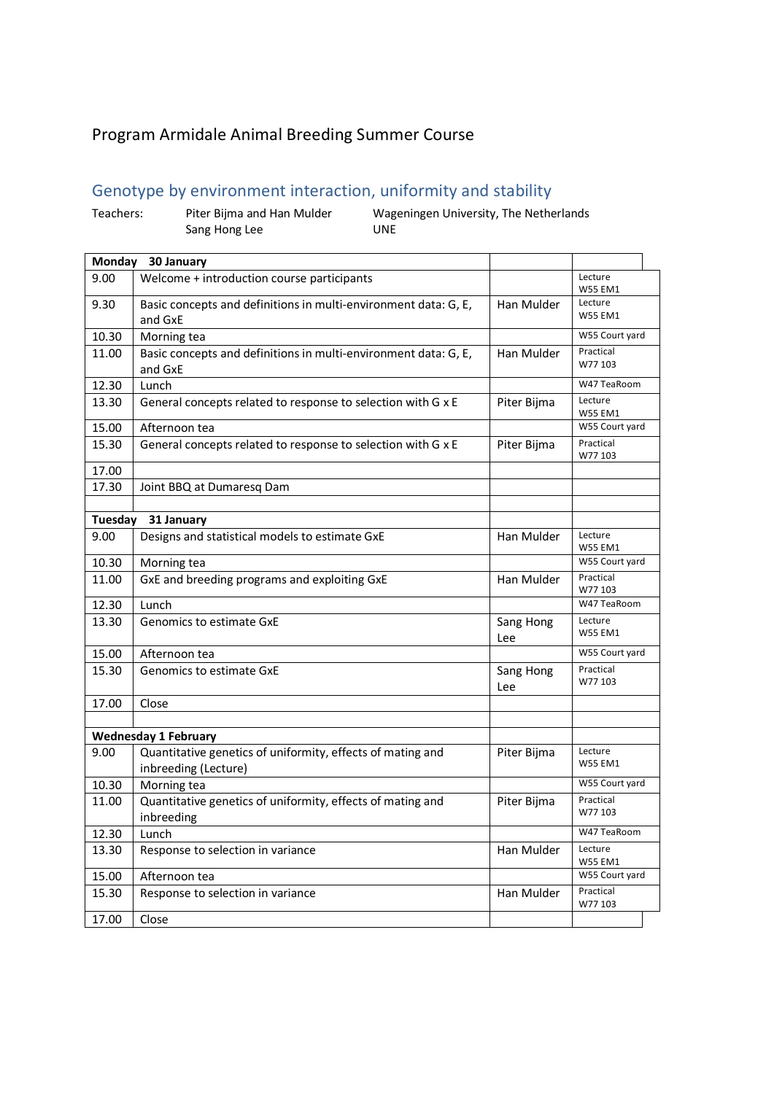## Program Armidale Animal Breeding Summer Course

## Genotype by environment interaction, uniformity and stability

Teachers: Piter Bijma and Han Mulder Wageningen University, The Netherlands Sang Hong Lee UNE **Monday 30 January** 9.00 Welcome + introduction course participants Lecture W55 EM1 9.30 | Basic concepts and definitions in multi-environment data: G, E, and GxE Han Mulder | Lecture W55 EM1 10.30 Morning tea W55 Court yard<br>11.00 Basic concents and definitions in multi-environment data: G. E. Han Mulder Practical 11.00  $\parallel$  Basic concepts and definitions in multi-environment data: G, E, and GxE Han Mulder W77 103 12.30 Lunch W47 TeaRoom 13.30 General concepts related to response to selection with G  $\times$  E Piter Bijma Lecture W55 EM1 15.00 Afternoon tea W55 Court yard<br>15.30 General concents related to response to selection with G v E Piter Riima Practical 15.30 General concepts related to response to selection with G  $x E$  Piter Bijma W77 103 17.00 17.30 Joint BBQ at Dumaresq Dam **Tuesday 31 January** 9.00 Designs and statistical models to estimate GxE Han Mulder Lecture W55 EM1 10.30 Morning tea W55 Court yard 11.00 GxE and breeding programs and exploiting GxE Han Mulder Practical W77 103<br>W47 TeaRoom 12.30 Lunch W47 TeaRoom 13.30 Genomics to estimate GxE Sang Hong Lee Lecture W55 EM1 15.00 Afternoon tea W55 Court yard 15.30 Genomics to estimate GxE Sang Hong Sang Hong Lee Practical W77 103 17.00 Close **Wednesday 1 February** 9.00 | Quantitative genetics of uniformity, effects of mating and inbreeding (Lecture) Piter Bijma Lecture W55 EM1 10.30 Morning tea W55 Court yard 11.00 Quantitative genetics of uniformity, effects of mating and inbreeding Piter Bijma Practical W77 103 12.30 Lunch W47 TeaRoom

13.30 Response to selection in variance Han Mulder Han Mulder Lecture

15.30 Response to selection in variance **Han Mulder** Practical Business Response to selection in variance

17.00 Close

15.00 Afternoon tea W55 Court yard<br>15.30 Besnonse to selection in variance<br>15.30 Besnonse to selection in variance

W55 EM1

W77 103